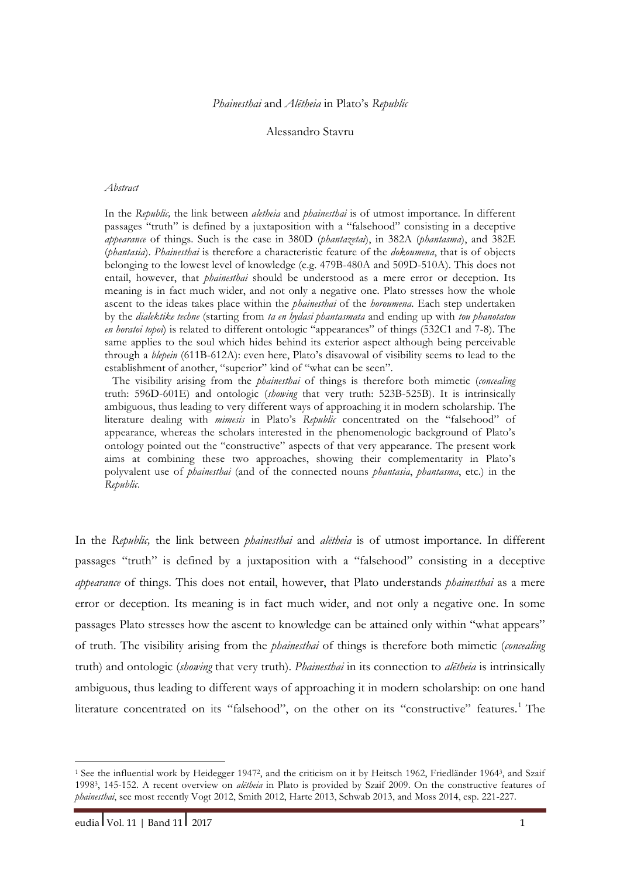# Alessandro Stavru

#### *Abstract*

In the *Republic,* the link between *aletheia* and *phainesthai* is of utmost importance. In different passages "truth" is defined by a juxtaposition with a "falsehood" consisting in a deceptive *appearance* of things. Such is the case in 380D (*phantazetai*), in 382A (*phantasma*), and 382E (*phantasia*). *Phainesthai* is therefore a characteristic feature of the *dokoumena*, that is of objects belonging to the lowest level of knowledge (e.g. 479B-480A and 509D-510A). This does not entail, however, that *phainesthai* should be understood as a mere error or deception. Its meaning is in fact much wider, and not only a negative one. Plato stresses how the whole ascent to the ideas takes place within the *phainesthai* of the *horoumena*. Each step undertaken by the *dialektike techne* (starting from *ta en hydasi phantasmata* and ending up with *tou phanotatou en horatoi topoi*) is related to different ontologic "appearances" of things (532C1 and 7-8). The same applies to the soul which hides behind its exterior aspect although being perceivable through a *blepein* (611B-612A): even here, Plato's disavowal of visibility seems to lead to the establishment of another, "superior" kind of "what can be seen".

The visibility arising from the *phainesthai* of things is therefore both mimetic (*concealing* truth: 596D-601E) and ontologic (*showing* that very truth: 523B-525B). It is intrinsically ambiguous, thus leading to very different ways of approaching it in modern scholarship. The literature dealing with *mimesis* in Plato's *Republic* concentrated on the "falsehood" of appearance, whereas the scholars interested in the phenomenologic background of Plato's ontology pointed out the "constructive" aspects of that very appearance. The present work aims at combining these two approaches, showing their complementarity in Plato's polyvalent use of *phainesthai* (and of the connected nouns *phantasia*, *phantasma*, etc.) in the *Republic*.

In the *Republic,* the link between *phainesthai* and *alētheia* is of utmost importance. In different passages "truth" is defined by a juxtaposition with a "falsehood" consisting in a deceptive *appearance* of things. This does not entail, however, that Plato understands *phainesthai* as a mere error or deception. Its meaning is in fact much wider, and not only a negative one. In some passages Plato stresses how the ascent to knowledge can be attained only within "what appears" of truth. The visibility arising from the *phainesthai* of things is therefore both mimetic (*concealing* truth) and ontologic (*showing* that very truth). *Phainesthai* in its connection to *alētheia* is intrinsically ambiguous, thus leading to different ways of approaching it in modern scholarship: on one hand literature concentrated on its "falsehood", on the other on its "constructive" features.<sup>1</sup> The

<sup>1</sup> See the influential work by Heidegger 19472, and the criticism on it by Heitsch 1962, Friedländer 19643, and Szaif 19983, 145-152. A recent overview on *alētheia* in Plato is provided by Szaif 2009. On the constructive features of *phainesthai*, see most recently Vogt 2012, Smith 2012, Harte 2013, Schwab 2013, and Moss 2014, esp. 221-227.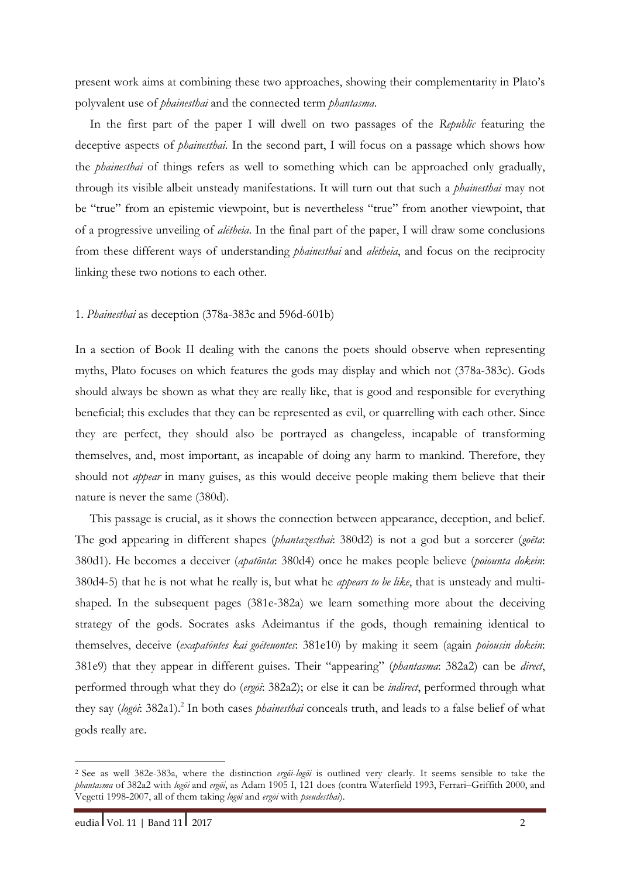present work aims at combining these two approaches, showing their complementarity in Plato's polyvalent use of *phainesthai* and the connected term *phantasma*.

In the first part of the paper I will dwell on two passages of the *Republic* featuring the deceptive aspects of *phainesthai*. In the second part, I will focus on a passage which shows how the *phainesthai* of things refers as well to something which can be approached only gradually, through its visible albeit unsteady manifestations. It will turn out that such a *phainesthai* may not be "true" from an epistemic viewpoint, but is nevertheless "true" from another viewpoint, that of a progressive unveiling of *alētheia*. In the final part of the paper, I will draw some conclusions from these different ways of understanding *phainesthai* and *alētheia*, and focus on the reciprocity linking these two notions to each other.

# 1. *Phainesthai* as deception (378a-383c and 596d-601b)

In a section of Book II dealing with the canons the poets should observe when representing myths, Plato focuses on which features the gods may display and which not (378a-383c). Gods should always be shown as what they are really like, that is good and responsible for everything beneficial; this excludes that they can be represented as evil, or quarrelling with each other. Since they are perfect, they should also be portrayed as changeless, incapable of transforming themselves, and, most important, as incapable of doing any harm to mankind. Therefore, they should not *appear* in many guises, as this would deceive people making them believe that their nature is never the same (380d).

This passage is crucial, as it shows the connection between appearance, deception, and belief. The god appearing in different shapes (*phantazesthai*: 380d2) is not a god but a sorcerer (*goēta*: 380d1). He becomes a deceiver (*apatōnta*: 380d4) once he makes people believe (*poiounta dokein*: 380d4-5) that he is not what he really is, but what he *appears to be like*, that is unsteady and multishaped. In the subsequent pages (381e-382a) we learn something more about the deceiving strategy of the gods. Socrates asks Adeimantus if the gods, though remaining identical to themselves, deceive (*exapatōntes kai goēteuontes*: 381e10) by making it seem (again *poiousin dokein*: 381e9) that they appear in different guises. Their "appearing" (*phantasma*: 382a2) can be *direct*, performed through what they do (*ergōi*: 382a2); or else it can be *indirect*, performed through what they say (*logōi*: 382a1).2 In both cases *phainesthai* conceals truth, and leads to a false belief of what gods really are.

<sup>2</sup> See as well 382e-383a, where the distinction *ergōi*-*logōi* is outlined very clearly. It seems sensible to take the *phantasma* of 382a2 with *logōi* and *ergōi*, as Adam 1905 I, 121 does (contra Waterfield 1993, Ferrari–Griffith 2000, and Vegetti 1998-2007, all of them taking *logōi* and *ergōi* with *pseudesthai*).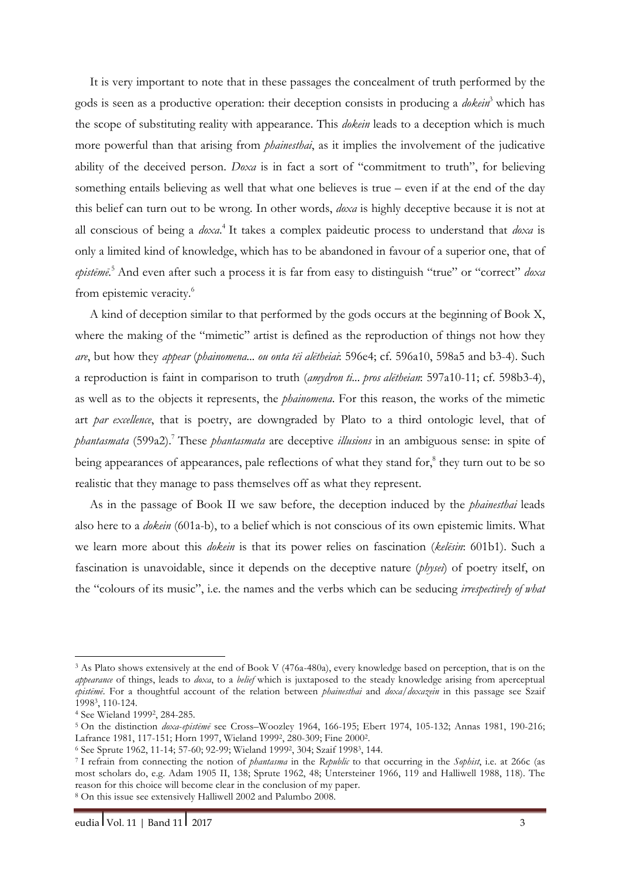It is very important to note that in these passages the concealment of truth performed by the gods is seen as a productive operation: their deception consists in producing a *dokein*<sup>3</sup> which has the scope of substituting reality with appearance. This *dokein* leads to a deception which is much more powerful than that arising from *phainesthai*, as it implies the involvement of the judicative ability of the deceived person. *Doxa* is in fact a sort of "commitment to truth", for believing something entails believing as well that what one believes is true – even if at the end of the day this belief can turn out to be wrong. In other words, *doxa* is highly deceptive because it is not at all conscious of being a *doxa*. <sup>4</sup> It takes a complex paideutic process to understand that *doxa* is only a limited kind of knowledge, which has to be abandoned in favour of a superior one, that of *epistēmē*. <sup>5</sup> And even after such a process it is far from easy to distinguish "true" or "correct" *doxa* from epistemic veracity.<sup>6</sup>

A kind of deception similar to that performed by the gods occurs at the beginning of Book X, where the making of the "mimetic" artist is defined as the reproduction of things not how they *are*, but how they *appear* (*phainomena... ou onta tēi alētheiai*: 596e4; cf. 596a10, 598a5 and b3-4). Such a reproduction is faint in comparison to truth (*amydron ti... pros alētheian*: 597a10-11; cf. 598b3-4), as well as to the objects it represents, the *phainomena*. For this reason, the works of the mimetic art *par excellence*, that is poetry, are downgraded by Plato to a third ontologic level, that of *phantasmata* (599a2).7 These *phantasmata* are deceptive *illusions* in an ambiguous sense: in spite of being appearances of appearances, pale reflections of what they stand for, $\delta$  they turn out to be so realistic that they manage to pass themselves off as what they represent.

As in the passage of Book II we saw before, the deception induced by the *phainesthai* leads also here to a *dokein* (601a-b), to a belief which is not conscious of its own epistemic limits. What we learn more about this *dokein* is that its power relies on fascination (*kelēsin*: 601b1). Such a fascination is unavoidable, since it depends on the deceptive nature (*physei*) of poetry itself, on the "colours of its music", i.e. the names and the verbs which can be seducing *irrespectively of what* 

<sup>3</sup> As Plato shows extensively at the end of Book V (476a-480a), every knowledge based on perception, that is on the *appearance* of things, leads to *doxa*, to a *belief* which is juxtaposed to the steady knowledge arising from aperceptual *epistēmē*. For a thoughtful account of the relation between *phainesthai* and *doxa*/*doxazein* in this passage see Szaif 19983, 110-124.

<sup>4</sup> See Wieland 19992, 284-285.

<sup>5</sup> On the distinction *doxa*-*epistēmē* see Cross–Woozley 1964, 166-195; Ebert 1974, 105-132; Annas 1981, 190-216; Lafrance 1981, 117-151; Horn 1997, Wieland 19992, 280-309; Fine 20002.

<sup>6</sup> See Sprute 1962, 11-14; 57-60; 92-99; Wieland 19992, 304; Szaif 19983, 144.

<sup>7</sup> I refrain from connecting the notion of *phantasma* in the *Republic* to that occurring in the *Sophist*, i.e. at 266c (as most scholars do, e.g. Adam 1905 II, 138; Sprute 1962, 48; Untersteiner 1966, 119 and Halliwell 1988, 118). The reason for this choice will become clear in the conclusion of my paper. <sup>8</sup> On this issue see extensively Halliwell 2002 and Palumbo 2008.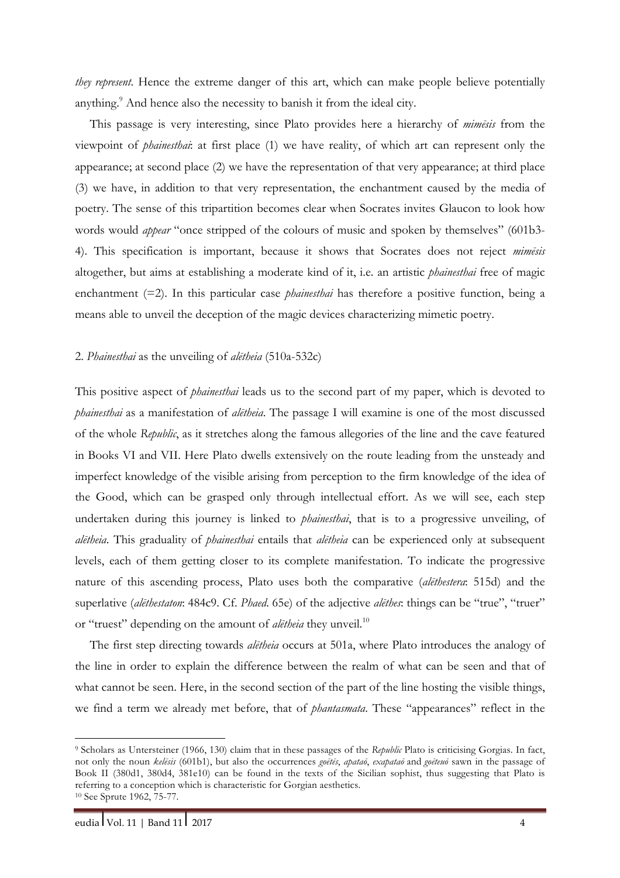*they represent*. Hence the extreme danger of this art, which can make people believe potentially anything.<sup>9</sup> And hence also the necessity to banish it from the ideal city.

This passage is very interesting, since Plato provides here a hierarchy of *mimēsis* from the viewpoint of *phainesthai*: at first place (1) we have reality, of which art can represent only the appearance; at second place (2) we have the representation of that very appearance; at third place (3) we have, in addition to that very representation, the enchantment caused by the media of poetry. The sense of this tripartition becomes clear when Socrates invites Glaucon to look how words would *appear* "once stripped of the colours of music and spoken by themselves" (601b3- 4). This specification is important, because it shows that Socrates does not reject *mimēsis* altogether, but aims at establishing a moderate kind of it, i.e. an artistic *phainesthai* free of magic enchantment (=2). In this particular case *phainesthai* has therefore a positive function, being a means able to unveil the deception of the magic devices characterizing mimetic poetry.

## 2. *Phainesthai* as the unveiling of *alētheia* (510a-532c)

This positive aspect of *phainesthai* leads us to the second part of my paper, which is devoted to *phainesthai* as a manifestation of *alētheia*. The passage I will examine is one of the most discussed of the whole *Republic*, as it stretches along the famous allegories of the line and the cave featured in Books VI and VII. Here Plato dwells extensively on the route leading from the unsteady and imperfect knowledge of the visible arising from perception to the firm knowledge of the idea of the Good, which can be grasped only through intellectual effort. As we will see, each step undertaken during this journey is linked to *phainesthai*, that is to a progressive unveiling, of *alētheia*. This graduality of *phainesthai* entails that *alētheia* can be experienced only at subsequent levels, each of them getting closer to its complete manifestation. To indicate the progressive nature of this ascending process, Plato uses both the comparative (*alēthestera*: 515d) and the superlative (*alēthestaton*: 484c9. Cf. *Phaed*. 65e) of the adjective *alēthes*: things can be "true", "truer" or "truest" depending on the amount of *aletheia* they unveil.<sup>10</sup>

The first step directing towards *alētheia* occurs at 501a, where Plato introduces the analogy of the line in order to explain the difference between the realm of what can be seen and that of what cannot be seen. Here, in the second section of the part of the line hosting the visible things, we find a term we already met before, that of *phantasmata*. These "appearances" reflect in the

<sup>9</sup> Scholars as Untersteiner (1966, 130) claim that in these passages of the *Republic* Plato is criticising Gorgias. In fact, not only the noun kelesis (601b1), but also the occurrences goetes, apatao, exapatao and goeteno sawn in the passage of Book II (380d1, 380d4, 381e10) can be found in the texts of the Sicilian sophist, thus suggesting that Plato is referring to a conception which is characteristic for Gorgian aesthetics. <sup>10</sup> See Sprute 1962, 75-77.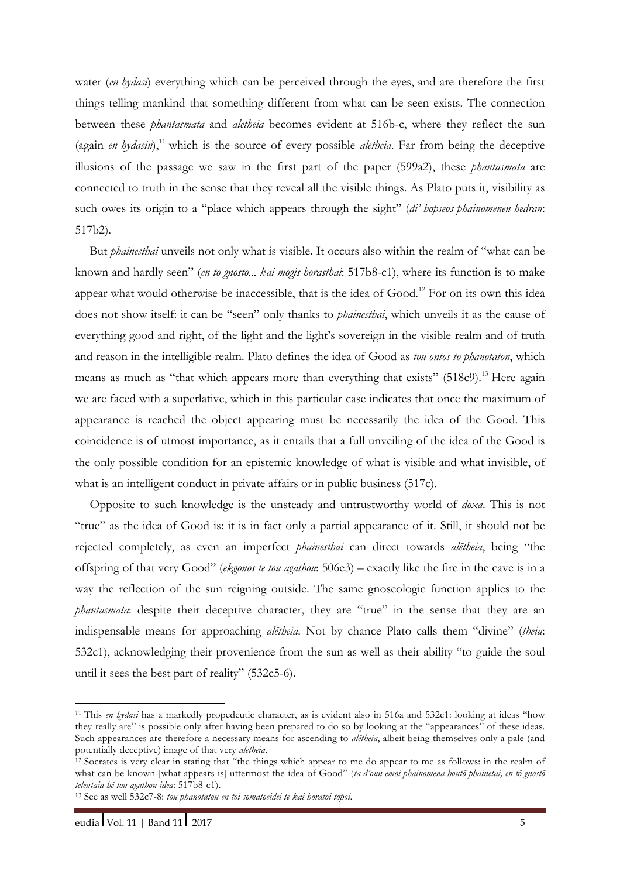water (*en hydasi*) everything which can be perceived through the eyes, and are therefore the first things telling mankind that something different from what can be seen exists. The connection between these *phantasmata* and *alētheia* becomes evident at 516b-c, where they reflect the sun (again *en hydasin*),<sup>11</sup> which is the source of every possible *aletheia*. Far from being the deceptive illusions of the passage we saw in the first part of the paper (599a2), these *phantasmata* are connected to truth in the sense that they reveal all the visible things. As Plato puts it, visibility as such owes its origin to a "place which appears through the sight" (*di' hopseōs phainomenēn hedran*: 517b2).

But *phainesthai* unveils not only what is visible. It occurs also within the realm of "what can be known and hardly seen" (*en tō gnostō... kai mogis horasthai*: 517b8-c1), where its function is to make appear what would otherwise be inaccessible, that is the idea of Good.<sup>12</sup> For on its own this idea does not show itself: it can be "seen" only thanks to *phainesthai*, which unveils it as the cause of everything good and right, of the light and the light's sovereign in the visible realm and of truth and reason in the intelligible realm. Plato defines the idea of Good as *tou ontos to phanotaton*, which means as much as "that which appears more than everything that exists" (518c9).<sup>13</sup> Here again we are faced with a superlative, which in this particular case indicates that once the maximum of appearance is reached the object appearing must be necessarily the idea of the Good. This coincidence is of utmost importance, as it entails that a full unveiling of the idea of the Good is the only possible condition for an epistemic knowledge of what is visible and what invisible, of what is an intelligent conduct in private affairs or in public business (517c).

Opposite to such knowledge is the unsteady and untrustworthy world of *doxa*. This is not "true" as the idea of Good is: it is in fact only a partial appearance of it. Still, it should not be rejected completely, as even an imperfect *phainesthai* can direct towards *alētheia*, being "the offspring of that very Good" (*ekgonos te tou agathou*: 506e3) – exactly like the fire in the cave is in a way the reflection of the sun reigning outside. The same gnoseologic function applies to the *phantasmata*: despite their deceptive character, they are "true" in the sense that they are an indispensable means for approaching *alētheia*. Not by chance Plato calls them "divine" (*theia*: 532c1), acknowledging their provenience from the sun as well as their ability "to guide the soul until it sees the best part of reality" (532c5-6).

<sup>11</sup> This *en hydasi* has a markedly propedeutic character, as is evident also in 516a and 532c1: looking at ideas "how they really are" is possible only after having been prepared to do so by looking at the "appearances" of these ideas. Such appearances are therefore a necessary means for ascending to *alētheia*, albeit being themselves only a pale (and potentially deceptive) image of that very *alētheia*.

<sup>12</sup> Socrates is very clear in stating that "the things which appear to me do appear to me as follows: in the realm of what can be known [what appears is] uttermost the idea of Good" (*ta d'oun emoi phainomena houtō phainetai, en tō gnostō teleutaia hē tou agathou idea*: 517b8-c1).

<sup>13</sup> See as well 532c7-8: *tou phanotatou en tōi sōmatoeidei te kai horatōi topōi*.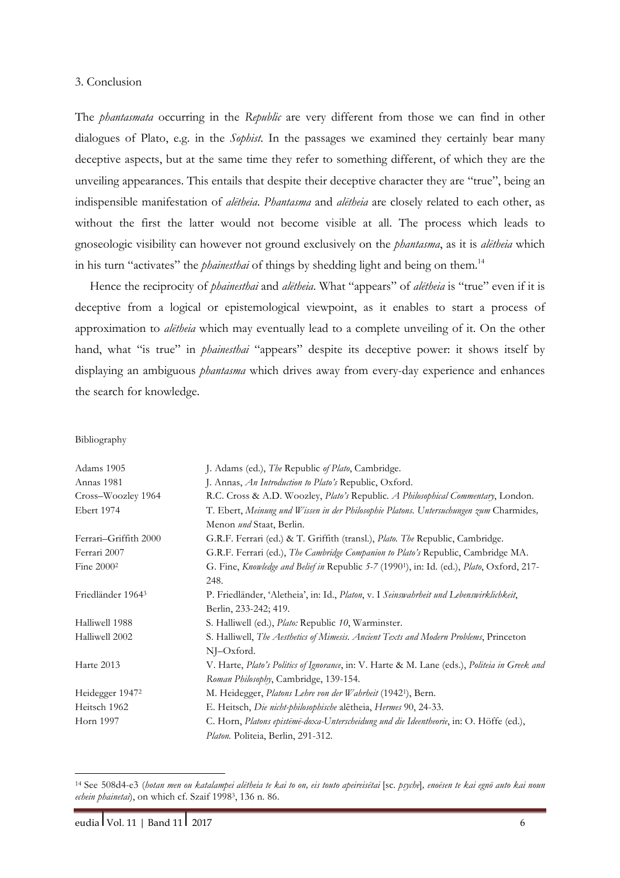### 3. Conclusion

The *phantasmata* occurring in the *Republic* are very different from those we can find in other dialogues of Plato, e.g. in the *Sophist*. In the passages we examined they certainly bear many deceptive aspects, but at the same time they refer to something different, of which they are the unveiling appearances. This entails that despite their deceptive character they are "true", being an indispensible manifestation of *alētheia*. *Phantasma* and *alētheia* are closely related to each other, as without the first the latter would not become visible at all. The process which leads to gnoseologic visibility can however not ground exclusively on the *phantasma*, as it is *alētheia* which in his turn "activates" the *phainesthai* of things by shedding light and being on them.<sup>14</sup>

Hence the reciprocity of *phainesthai* and *alētheia*. What "appears" of *alētheia* is "true" even if it is deceptive from a logical or epistemological viewpoint, as it enables to start a process of approximation to *alētheia* which may eventually lead to a complete unveiling of it. On the other hand, what "is true" in *phainesthai* "appears" despite its deceptive power: it shows itself by displaying an ambiguous *phantasma* which drives away from every-day experience and enhances the search for knowledge.

### Bibliography

| Adams 1905                    | J. Adams (ed.), The Republic of Plato, Cambridge.                                                      |
|-------------------------------|--------------------------------------------------------------------------------------------------------|
| Annas 1981                    | J. Annas, An Introduction to Plato's Republic, Oxford.                                                 |
| Cross-Woozley 1964            | R.C. Cross & A.D. Woozley, Plato's Republic. A Philosophical Commentary, London.                       |
| Ebert 1974                    | T. Ebert, Meinung und Wissen in der Philosophie Platons. Untersuchungen zum Charmides,                 |
|                               | Menon und Staat, Berlin.                                                                               |
| Ferrari-Griffith 2000         | G.R.F. Ferrari (ed.) & T. Griffith (transl.), Plato. The Republic, Cambridge.                          |
| Ferrari 2007                  | G.R.F. Ferrari (ed.), The Cambridge Companion to Plato's Republic, Cambridge MA.                       |
| Fine $20002$                  | G. Fine, Knowledge and Belief in Republic 5-7 (1990 <sup>1</sup> ), in: Id. (ed.), Plato, Oxford, 217- |
|                               | 248.                                                                                                   |
| Friedländer 1964 <sup>3</sup> | P. Friedländer, 'Aletheia', in: Id., Platon, v. I Seinswahrheit und Lebenswirklichkeit,                |
|                               | Berlin, 233-242; 419.                                                                                  |
| Halliwell 1988                | S. Halliwell (ed.), Plato: Republic 10, Warminster.                                                    |
| Halliwell 2002                | S. Halliwell, The Aesthetics of Mimesis. Ancient Texts and Modern Problems, Princeton                  |
|                               | $N$ I $-$ Oxford.                                                                                      |
| Harte 2013                    | V. Harte, Plato's Politics of Ignorance, in: V. Harte & M. Lane (eds.), Politeia in Greek and          |
|                               | Roman Philosophy, Cambridge, 139-154.                                                                  |
| Heidegger 1947 <sup>2</sup>   | M. Heidegger, Platons Lehre von der Wahrheit (1942 <sup>1</sup> ), Bern.                               |
| Heitsch 1962                  | E. Heitsch, Die nicht-philosophische aletheia, Hermes 90, 24-33.                                       |
| Horn 1997                     | C. Horn, Platons episteme-doxa-Unterscheidung und die Ideentheorie, in: O. Höffe (ed.),                |
|                               | Platon. Politeia, Berlin, 291-312.                                                                     |

<sup>14</sup> See 508d4-e3 (*hotan men ou katalampei alētheia te kai to on, eis touto apeireisētai* [sc. *psyche*]*, enoēsen te kai egnō auto kai noun echein phainetai*), on which cf. Szaif 19983, 136 n. 86.